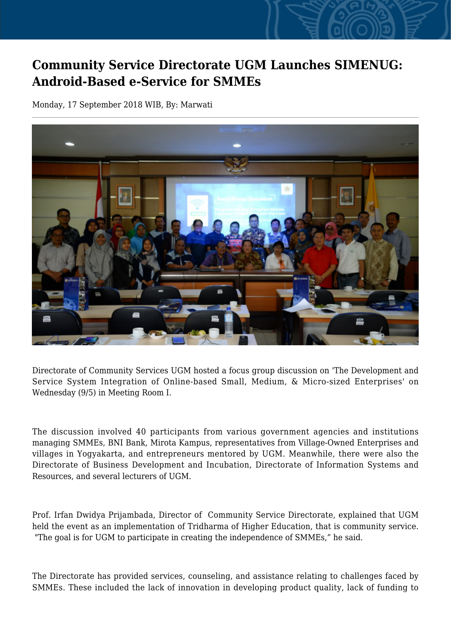## **Community Service Directorate UGM Launches SIMENUG: Android-Based e-Service for SMMEs**

Monday, 17 September 2018 WIB, By: Marwati



Directorate of Community Services UGM hosted a focus group discussion on 'The Development and Service System Integration of Online-based Small, Medium, & Micro-sized Enterprises' on Wednesday (9/5) in Meeting Room I.

The discussion involved 40 participants from various government agencies and institutions managing SMMEs, BNI Bank, Mirota Kampus, representatives from Village-Owned Enterprises and villages in Yogyakarta, and entrepreneurs mentored by UGM. Meanwhile, there were also the Directorate of Business Development and Incubation, Directorate of Information Systems and Resources, and several lecturers of UGM.

Prof. Irfan Dwidya Prijambada, Director of Community Service Directorate, explained that UGM held the event as an implementation of Tridharma of Higher Education, that is community service. "The goal is for UGM to participate in creating the independence of SMMEs," he said.

The Directorate has provided services, counseling, and assistance relating to challenges faced by SMMEs. These included the lack of innovation in developing product quality, lack of funding to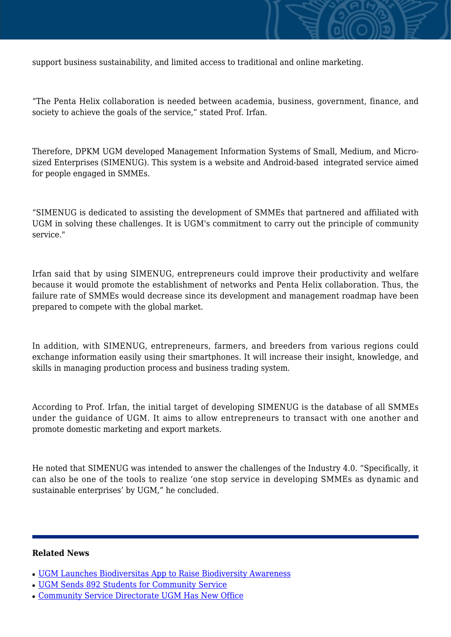

"The Penta Helix collaboration is needed between academia, business, government, finance, and society to achieve the goals of the service," stated Prof. Irfan.

Therefore, DPKM UGM developed Management Information Systems of Small, Medium, and Microsized Enterprises (SIMENUG). This system is a website and Android-based integrated service aimed for people engaged in SMMEs.

"SIMENUG is dedicated to assisting the development of SMMEs that partnered and affiliated with UGM in solving these challenges. It is UGM's commitment to carry out the principle of community service."

Irfan said that by using SIMENUG, entrepreneurs could improve their productivity and welfare because it would promote the establishment of networks and Penta Helix collaboration. Thus, the failure rate of SMMEs would decrease since its development and management roadmap have been prepared to compete with the global market.

In addition, with SIMENUG, entrepreneurs, farmers, and breeders from various regions could exchange information easily using their smartphones. It will increase their insight, knowledge, and skills in managing production process and business trading system.

According to Prof. Irfan, the initial target of developing SIMENUG is the database of all SMMEs under the guidance of UGM. It aims to allow entrepreneurs to transact with one another and promote domestic marketing and export markets.

He noted that SIMENUG was intended to answer the challenges of the Industry 4.0. "Specifically, it can also be one of the tools to realize 'one stop service in developing SMMEs as dynamic and sustainable enterprises' by UGM," he concluded.

## **Related News**

- [UGM Launches Biodiversitas App to Raise Biodiversity Awareness](http://ugm.ac.id/www.ugm.ac.id//en/news/14085-community-service-directorate-ugm-has-new-office)
- [UGM Sends 892 Students for Community Service](http://ugm.ac.id/www.ugm.ac.id//en/news/19649-ugm-community-service-kalirejo-unit-launches-a-book-experience-of-online-community-service)
- [Community Service Directorate UGM Has New Office](http://ugm.ac.id/www.ugm.ac.id//en/news/18711-higher-education-ministry-ugm-best-university-in-community-service-performance)